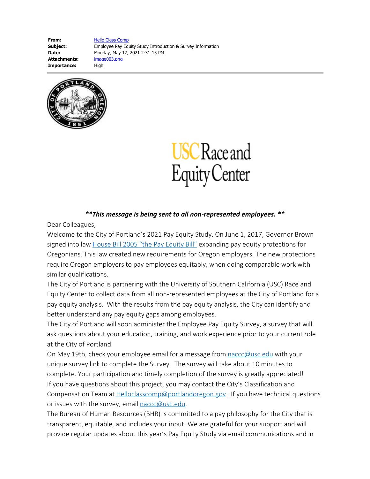**From:** [Hello Class Comp](mailto:HelloClassComp@portlandoregon.gov) **Subject:** Employee Pay Equity Study Introduction & Survey Information **Date:** Monday, May 17, 2021 2:31:15 PM **Attachments:** image003.png Importance: High





## *\*\*This message is being sent to all non-represented employees. \*\**

Dear Colleagues,

Welcome to the City of Portland's 2021 Pay Equity Study. On June 1, 2017, Governor Brown signed into law [House Bill 2005 "the Pay Equity Bill"](https://olis.leg.state.or.us/liz/2017R1/Downloads/MeasureDocument/HB2005) expanding pay equity protections for Oregonians. This law created new requirements for Oregon employers. The new protections require Oregon employers to pay employees equitably, when doing comparable work with similar qualifications.

The City of Portland is partnering with the University of Southern California (USC) Race and Equity Center to collect data from all non-represented employees at the City of Portland for a pay equity analysis. With the results from the pay equity analysis, the City can identify and better understand any pay equity gaps among employees.

The City of Portland will soon administer the Employee Pay Equity Survey, a survey that will ask questions about your education, training, and work experience prior to your current role at the City of Portland.

On May 19th, check your employee email for a message from  $\text{nacc@usc.edu}$  with your unique survey link to complete the Survey. The survey will take about 10 minutes to complete. Your participation and timely completion of the survey is greatly appreciated! If you have questions about this project, you may contact the City's Classification and Compensation Team at **Helloclasscomp@portlandoregon.gov** . If you have technical questions or issues with the survey, email [naccc@usc.edu](mailto:naccc@usc.edu).

The Bureau of Human Resources (BHR) is committed to a pay philosophy for the City that is transparent, equitable, and includes your input. We are grateful for your support and will provide regular updates about this year's Pay Equity Study via email communications and in